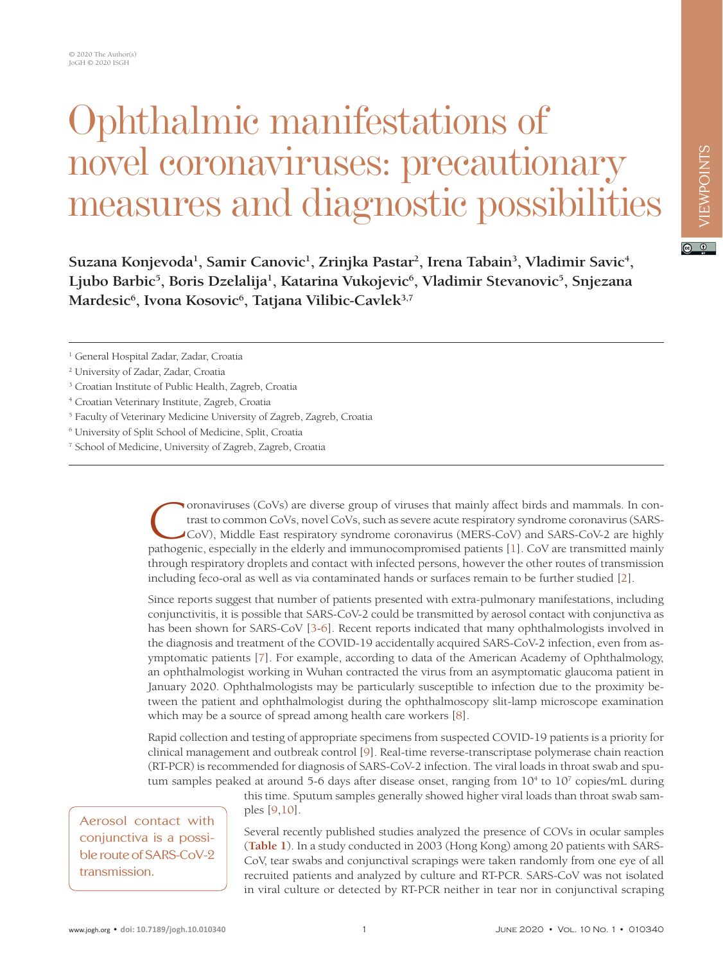## Ophthalmic manifestations of novel coronaviruses: precautionary measures and diagnostic possibilities

Suzana Konjevoda<sup>1</sup>, Samir Canovic<sup>1</sup>, Zrinjka Pastar<sup>2</sup>, Irena Tabain<sup>3</sup>, Vladimir Savic<sup>4</sup>, Ljubo Barbic<sup>5</sup>, Boris Dzelalija<sup>1</sup>, Katarina Vukojevic<sup>6</sup>, Vladimir Stevanovic<sup>5</sup>, Snjezana Mardesic<sup>6</sup>, Ivona Kosovic<sup>6</sup>, Tatjana Vilibic-Cavlek<sup>3,7</sup>

- 5 Faculty of Veterinary Medicine University of Zagreb, Zagreb, Croatia
- 6 University of Split School of Medicine, Split, Croatia
- 7 School of Medicine, University of Zagreb, Zagreb, Croatia

**T** oronaviruses (CoVs) are diverse group of viruses that mainly affect birds and mammals. In contrast to common CoVs, novel CoVs, such as severe acute respiratory syndrome coronavirus (SARS-CoV), Middle East respiratory syndrome coronavirus (MERS-CoV) and SARS-CoV-2 are highly pathogenic, especially in the elderly and immunocompromised patients [\[1\]](#page-2-0). CoV are transmitted mainly through respiratory droplets and contact with infected persons, however the other routes of transmission including feco-oral as well as via contaminated hands or surfaces remain to be further studied [[2](#page-2-1)].

Since reports suggest that number of patients presented with extra-pulmonary manifestations, including conjunctivitis, it is possible that SARS-CoV-2 could be transmitted by aerosol contact with conjunctiva as has been shown for SARS-CoV [[3](#page-2-2)-[6\]](#page-2-3). Recent reports indicated that many ophthalmologists involved in the diagnosis and treatment of the COVID-19 accidentally acquired SARS-CoV-2 infection, even from asymptomatic patients [\[7](#page-2-4)]. For example, according to data of the American Academy of Ophthalmology, an ophthalmologist working in Wuhan contracted the virus from an asymptomatic glaucoma patient in January 2020. Ophthalmologists may be particularly susceptible to infection due to the proximity between the patient and ophthalmologist during the ophthalmoscopy slit-lamp microscope examination which may be a source of spread among health care workers [[8\]](#page-2-5).

Rapid collection and testing of appropriate specimens from suspected COVID-19 patients is a priority for clinical management and outbreak control [[9\]](#page-2-6). Real-time reverse-transcriptase polymerase chain reaction (RT-PCR) is recommended for diagnosis of SARS-CoV-2 infection. The viral loads in throat swab and sputum samples peaked at around 5-6 days after disease onset, ranging from  $10^4$  to  $10^7$  copies/mL during

Aerosol contact with conjunctiva is a possible route of SARS-CoV-2 transmission.

this time. Sputum samples generally showed higher viral loads than throat swab samples [\[9](#page-2-6)[,10](#page-2-7)].

Several recently published studies analyzed the presence of COVs in ocular samples (**[Table 1](#page-1-0)**). In a study conducted in 2003 (Hong Kong) among 20 patients with SARS-CoV, tear swabs and conjunctival scrapings were taken randomly from one eye of all recruited patients and analyzed by culture and RT-PCR. SARS-CoV was not isolated in viral culture or detected by RT-PCR neither in tear nor in conjunctival scraping  $\boxed{6}$  0

<sup>&</sup>lt;sup>1</sup> General Hospital Zadar, Zadar, Croatia

<sup>2</sup> University of Zadar, Zadar, Croatia

<sup>&</sup>lt;sup>3</sup> Croatian Institute of Public Health, Zagreb, Croatia

<sup>4</sup> Croatian Veterinary Institute, Zagreb, Croatia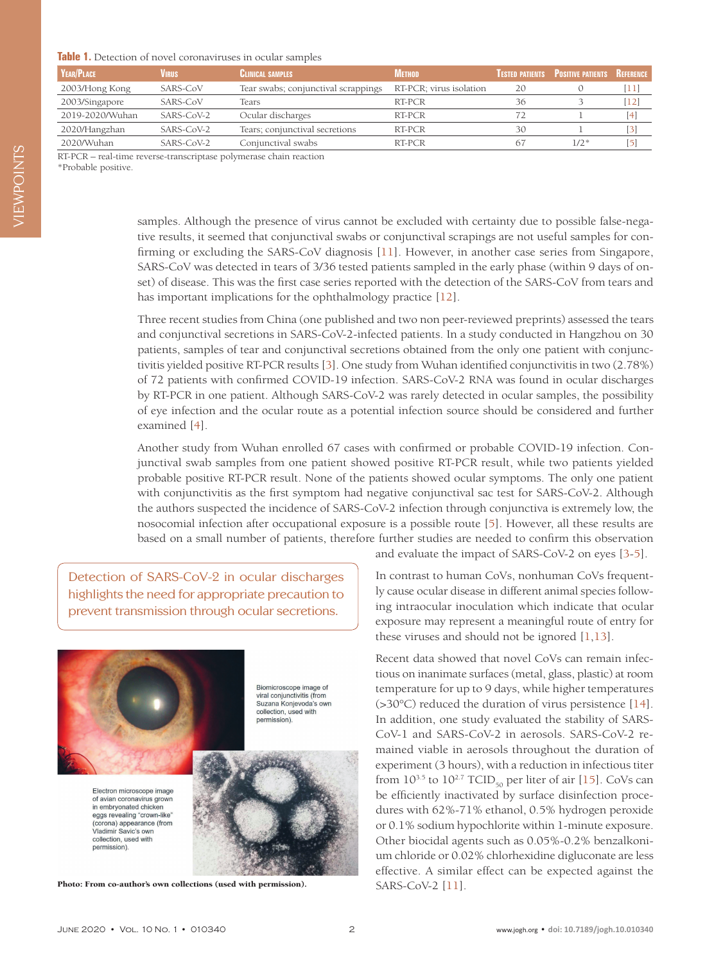## <span id="page-1-0"></span>**Table 1.** Detection of novel coronaviruses in ocular samples

| <b>YEAR/PLACE</b> | VIRUS        | <b>CLINICAL SAMPLES</b>             | Метнор                  |    | TESTED PATIENTS POSITIVE PATIENTS REFERENCE |                                                                                                                                                                                       |
|-------------------|--------------|-------------------------------------|-------------------------|----|---------------------------------------------|---------------------------------------------------------------------------------------------------------------------------------------------------------------------------------------|
| 2003/Hong Kong    | SARS-CoV     | Tear swabs; conjunctival scrappings | RT-PCR; virus isolation | 20 |                                             | [11                                                                                                                                                                                   |
| 2003/Singapore    | SARS-CoV     | Tears                               | RT-PCR                  | 36 |                                             | [12]                                                                                                                                                                                  |
| 2019-2020/Wuhan   | $SARS-CoV-2$ | Ocular discharges                   | RT-PCR                  |    |                                             | $[4] % \includegraphics[width=1\textwidth]{images/TrDiM-Architecture.png} \caption{The figure shows the results of the estimators in the left hand side.} \label{TrDiM-Architecture}$ |
| 2020/Hangzhan     | SARS-CoV-2   | Tears; conjunctival secretions      | RT-PCR                  | 30 |                                             | [3]                                                                                                                                                                                   |
| 2020/Wuhan        | SARS-CoV-2   | Conjunctival swabs                  | RT-PCR                  | 67 | $1/2*$                                      | $\lceil 5 \rceil$                                                                                                                                                                     |
| ______            |              |                                     |                         |    |                                             |                                                                                                                                                                                       |

RT-PCR – real-time reverse-transcriptase polymerase chain reaction

\*Probable positive.

samples. Although the presence of virus cannot be excluded with certainty due to possible false-negative results, it seemed that conjunctival swabs or conjunctival scrapings are not useful samples for confirming or excluding the SARS-CoV diagnosis [[11\]](#page-2-8). However, in another case series from Singapore, SARS-CoV was detected in tears of 3/36 tested patients sampled in the early phase (within 9 days of onset) of disease. This was the first case series reported with the detection of the SARS-CoV from tears and has important implications for the ophthalmology practice [\[12](#page-2-9)].

Three recent studies from China (one published and two non peer-reviewed preprints) assessed the tears and conjunctival secretions in SARS-CoV-2-infected patients. In a study conducted in Hangzhou on 30 patients, samples of tear and conjunctival secretions obtained from the only one patient with conjunctivitis yielded positive RT-PCR results [\[3](#page-2-2)]. One study from Wuhan identified conjunctivitis in two (2.78%) of 72 patients with confirmed COVID-19 infection. SARS-CoV-2 RNA was found in ocular discharges by RT-PCR in one patient. Although SARS-CoV-2 was rarely detected in ocular samples, the possibility of eye infection and the ocular route as a potential infection source should be considered and further examined [[4](#page-2-10)].

Another study from Wuhan enrolled 67 cases with confirmed or probable COVID-19 infection. Conjunctival swab samples from one patient showed positive RT-PCR result, while two patients yielded probable positive RT-PCR result. None of the patients showed ocular symptoms. The only one patient with conjunctivitis as the first symptom had negative conjunctival sac test for SARS-CoV-2. Although the authors suspected the incidence of SARS-CoV-2 infection through conjunctiva is extremely low, the nosocomial infection after occupational exposure is a possible route [[5\]](#page-2-11). However, all these results are based on a small number of patients, therefore further studies are needed to confirm this observation

Detection of SARS-CoV-2 in ocular discharges highlights the need for appropriate precaution to prevent transmission through ocular secretions.



Photo: From co-author's own collections (used with permission). SARS-CoV-2 [[11](#page-2-8)].

and evaluate the impact of SARS-CoV-2 on eyes [\[3](#page-2-2)[-5\]](#page-2-11).

In contrast to human CoVs, nonhuman CoVs frequently cause ocular disease in different animal species following intraocular inoculation which indicate that ocular exposure may represent a meaningful route of entry for these viruses and should not be ignored [\[1](#page-2-0)[,13](#page-2-12)].

Recent data showed that novel CoVs can remain infectious on inanimate surfaces (metal, glass, plastic) at room temperature for up to 9 days, while higher temperatures (>30°C) reduced the duration of virus persistence [[14](#page-3-0)]. In addition, one study evaluated the stability of SARS-CoV-1 and SARS-CoV-2 in aerosols. SARS-CoV-2 remained viable in aerosols throughout the duration of experiment (3 hours), with a reduction in infectious titer from  $10^{3.5}$  to  $10^{2.7}$  TCID<sub>50</sub> per liter of air [[15\]](#page-3-1). CoVs can be efficiently inactivated by surface disinfection procedures with 62%-71% ethanol, 0.5% hydrogen peroxide or 0.1% sodium hypochlorite within 1-minute exposure. Other biocidal agents such as 0.05%-0.2% benzalkonium chloride or 0.02% chlorhexidine digluconate are less effective. A similar effect can be expected against the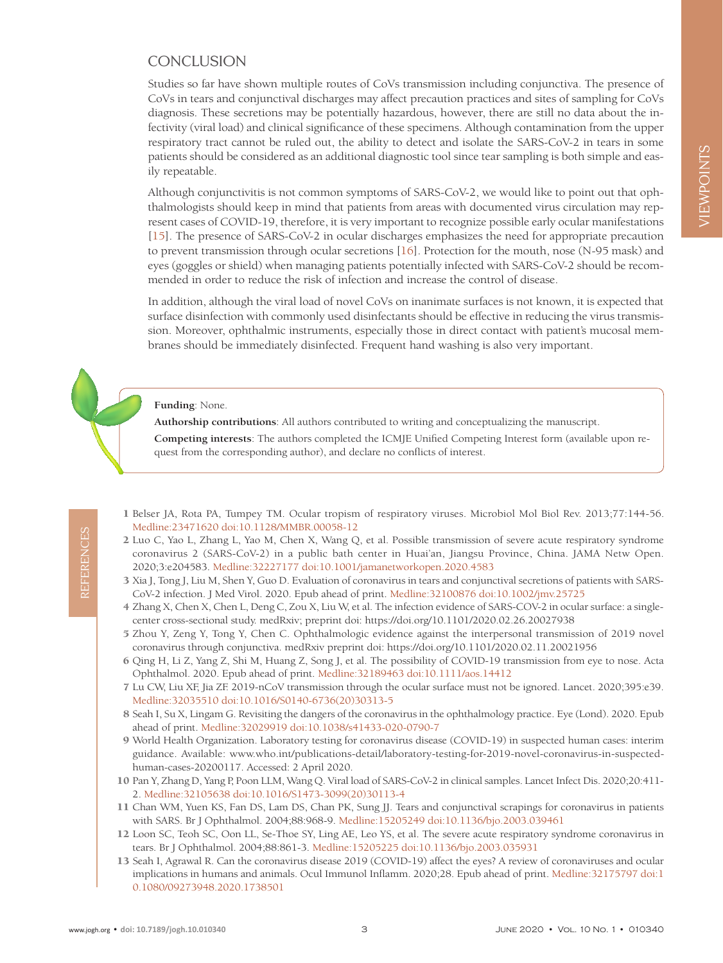## **CONCLUSION**

Studies so far have shown multiple routes of CoVs transmission including conjunctiva. The presence of CoVs in tears and conjunctival discharges may affect precaution practices and sites of sampling for CoVs diagnosis. These secretions may be potentially hazardous, however, there are still no data about the infectivity (viral load) and clinical significance of these specimens. Although contamination from the upper respiratory tract cannot be ruled out, the ability to detect and isolate the SARS-CoV-2 in tears in some patients should be considered as an additional diagnostic tool since tear sampling is both simple and easily repeatable.

Although conjunctivitis is not common symptoms of SARS-CoV-2, we would like to point out that ophthalmologists should keep in mind that patients from areas with documented virus circulation may represent cases of COVID-19, therefore, it is very important to recognize possible early ocular manifestations [\[15\]](#page-3-1). The presence of SARS-CoV-2 in ocular discharges emphasizes the need for appropriate precaution to prevent transmission through ocular secretions [\[16](#page-3-2)]. Protection for the mouth, nose (N-95 mask) and eyes (goggles or shield) when managing patients potentially infected with SARS-CoV-2 should be recommended in order to reduce the risk of infection and increase the control of disease.

In addition, although the viral load of novel CoVs on inanimate surfaces is not known, it is expected that surface disinfection with commonly used disinfectants should be effective in reducing the virus transmission. Moreover, ophthalmic instruments, especially those in direct contact with patient's mucosal membranes should be immediately disinfected. Frequent hand washing is also very important.

**Funding**: None.

**Authorship contributions**: All authors contributed to writing and conceptualizing the manuscript.

**Competing interests**: The authors completed the ICMJE Unified Competing Interest form (available upon request from the corresponding author), and declare no conflicts of interest.

- <span id="page-2-0"></span> 1 Belser JA, Rota PA, Tumpey TM. Ocular tropism of respiratory viruses. Microbiol Mol Biol Rev. 2013;77:144-56. [Medline:23471620](https://www.ncbi.nlm.nih.gov/entrez/query.fcgi?cmd=Retrieve&db=PubMed&list_uids=23471620&dopt=Abstract) [doi:10.1128/MMBR.00058-12](https://doi.org/10.1128/MMBR.00058-12)
- <span id="page-2-1"></span> 2 Luo C, Yao L, Zhang L, Yao M, Chen X, Wang Q, et al. Possible transmission of severe acute respiratory syndrome coronavirus 2 (SARS-CoV-2) in a public bath center in Huai'an, Jiangsu Province, China. JAMA Netw Open. 2020;3:e204583[. Medline:32227177](https://www.ncbi.nlm.nih.gov/entrez/query.fcgi?cmd=Retrieve&db=PubMed&list_uids=32227177&dopt=Abstract) [doi:10.1001/jamanetworkopen.2020.4583](https://doi.org/10.1001/jamanetworkopen.2020.4583)
- <span id="page-2-2"></span> 3 Xia J, Tong J, Liu M, Shen Y, Guo D. Evaluation of coronavirus in tears and conjunctival secretions of patients with SARS-CoV-2 infection. J Med Virol. 2020. Epub ahead of print[. Medline:32100876](https://www.ncbi.nlm.nih.gov/entrez/query.fcgi?cmd=Retrieve&db=PubMed&list_uids=32100876&dopt=Abstract) [doi:10.1002/jmv.25725](https://doi.org/10.1002/jmv.25725)
- <span id="page-2-10"></span> 4 Zhang X, Chen X, Chen L, Deng C, Zou X, Liu W, et al. The infection evidence of SARS-COV-2 in ocular surface: a singlecenter cross-sectional study. medRxiv; preprint doi: https://doi.org/10.1101/2020.02.26.20027938
- <span id="page-2-11"></span> 5 Zhou Y, Zeng Y, Tong Y, Chen C. Ophthalmologic evidence against the interpersonal transmission of 2019 novel coronavirus through conjunctiva. medRxiv preprint doi: https://doi.org/10.1101/2020.02.11.20021956
- <span id="page-2-3"></span> 6 Qing H, Li Z, Yang Z, Shi M, Huang Z, Song J, et al. The possibility of COVID-19 transmission from eye to nose. Acta Ophthalmol. 2020. Epub ahead of print. [Medline:32189463](https://www.ncbi.nlm.nih.gov/entrez/query.fcgi?cmd=Retrieve&db=PubMed&list_uids=32189463&dopt=Abstract) [doi:10.1111/aos.14412](https://doi.org/10.1111/aos.14412)
- <span id="page-2-4"></span> 7 Lu CW, Liu XF, Jia ZF. 2019-nCoV transmission through the ocular surface must not be ignored. Lancet. 2020;395:e39. [Medline:32035510](https://www.ncbi.nlm.nih.gov/entrez/query.fcgi?cmd=Retrieve&db=PubMed&list_uids=32035510&dopt=Abstract) [doi:10.1016/S0140-6736\(20\)30313-5](https://doi.org/10.1016/S0140-6736(20)30313-5)
- <span id="page-2-5"></span> 8 Seah I, Su X, Lingam G. Revisiting the dangers of the coronavirus in the ophthalmology practice. Eye (Lond). 2020. Epub ahead of print[. Medline:32029919](https://www.ncbi.nlm.nih.gov/entrez/query.fcgi?cmd=Retrieve&db=PubMed&list_uids=32029919&dopt=Abstract) [doi:10.1038/s41433-020-0790-7](https://doi.org/10.1038/s41433-020-0790-7)
- <span id="page-2-6"></span> 9 World Health Organization. Laboratory testing for coronavirus disease (COVID-19) in suspected human cases: interim guidance. Available: www.who.int/publications-detail/laboratory-testing-for-2019-novel-coronavirus-in-suspectedhuman-cases-20200117. Accessed: 2 April 2020.
- <span id="page-2-7"></span>10 Pan Y, Zhang D, Yang P, Poon LLM, Wang Q. Viral load of SARS-CoV-2 in clinical samples. Lancet Infect Dis. 2020;20:411- 2[. Medline:32105638](https://www.ncbi.nlm.nih.gov/entrez/query.fcgi?cmd=Retrieve&db=PubMed&list_uids=32105638&dopt=Abstract) [doi:10.1016/S1473-3099\(20\)30113-4](https://doi.org/10.1016/S1473-3099(20)30113-4)
- <span id="page-2-8"></span>11 Chan WM, Yuen KS, Fan DS, Lam DS, Chan PK, Sung JJ. Tears and conjunctival scrapings for coronavirus in patients with SARS. Br J Ophthalmol. 2004;88:968-9. [Medline:15205249](https://www.ncbi.nlm.nih.gov/entrez/query.fcgi?cmd=Retrieve&db=PubMed&list_uids=15205249&dopt=Abstract) [doi:10.1136/bjo.2003.039461](https://doi.org/10.1136/bjo.2003.039461)
- <span id="page-2-9"></span>12 Loon SC, Teoh SC, Oon LL, Se-Thoe SY, Ling AE, Leo YS, et al. The severe acute respiratory syndrome coronavirus in tears. Br J Ophthalmol. 2004;88:861-3[. Medline:15205225](https://www.ncbi.nlm.nih.gov/entrez/query.fcgi?cmd=Retrieve&db=PubMed&list_uids=15205225&dopt=Abstract) [doi:10.1136/bjo.2003.035931](https://doi.org/10.1136/bjo.2003.035931)
- <span id="page-2-12"></span>13 Seah I, Agrawal R. Can the coronavirus disease 2019 (COVID-19) affect the eyes? A review of coronaviruses and ocular implications in humans and animals. Ocul Immunol Inflamm. 2020;28. Epub ahead of print. [Medline:32175797](https://www.ncbi.nlm.nih.gov/entrez/query.fcgi?cmd=Retrieve&db=PubMed&list_uids=32175797&dopt=Abstract) [doi:1](https://doi.org/10.1080/09273948.2020.1738501) [0.1080/09273948.2020.1738501](https://doi.org/10.1080/09273948.2020.1738501)